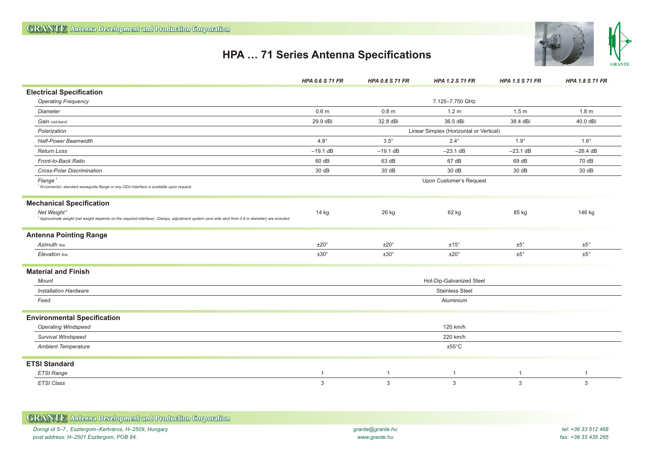## **HPA … 71 Series Antenna Specifications**





| <b>GRANTE</b> Antenna Development and Production Corporation |                  |                     |
|--------------------------------------------------------------|------------------|---------------------|
| Dorogi út 5–7., Esztergom–Kertváros, H–2509, Hungary         | grante@grante.hu | tel: +36 33 512 468 |
| post address: H-2501 Esztergom, POB 84.                      | www.grante.hu    | fax: +36 33 435 265 |